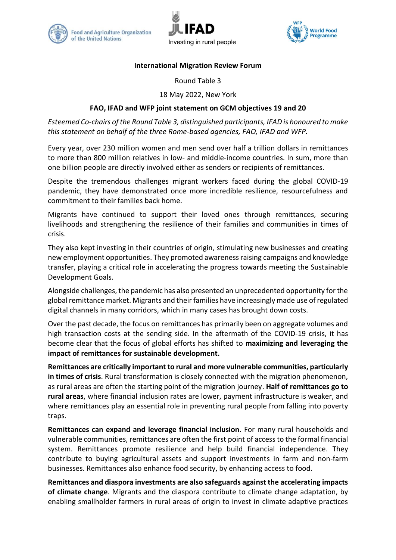





## **International Migration Review Forum**

Round Table 3

18 May 2022, New York

## **FAO, IFAD and WFP joint statement on GCM objectives 19 and 20**

*Esteemed Co-chairs of the Round Table 3, distinguished participants, IFAD is honoured to make this statement on behalf of the three Rome-based agencies, FAO, IFAD and WFP.*

Every year, over 230 million women and men send over half a trillion dollars in remittances to more than 800 million relatives in low- and middle-income countries. In sum, more than one billion people are directly involved either as senders or recipients of remittances.

Despite the tremendous challenges migrant workers faced during the global COVID-19 pandemic, they have demonstrated once more incredible resilience, resourcefulness and commitment to their families back home.

Migrants have continued to support their loved ones through remittances, securing livelihoods and strengthening the resilience of their families and communities in times of crisis.

They also kept investing in their countries of origin, stimulating new businesses and creating new employment opportunities. They promoted awareness raising campaigns and knowledge transfer, playing a critical role in accelerating the progress towards meeting the Sustainable Development Goals.

Alongside challenges, the pandemic has also presented an unprecedented opportunity for the global remittance market. Migrants and their families have increasingly made use of regulated digital channels in many corridors, which in many cases has brought down costs.

Over the past decade, the focus on remittances has primarily been on aggregate volumes and high transaction costs at the sending side. In the aftermath of the COVID-19 crisis, it has become clear that the focus of global efforts has shifted to **maximizing and leveraging the impact of remittances for sustainable development.**

**Remittances are critically important to rural and more vulnerable communities, particularly in times of crisis**. Rural transformation is closely connected with the migration phenomenon, as rural areas are often the starting point of the migration journey. **Half of remittances go to rural areas**, where financial inclusion rates are lower, payment infrastructure is weaker, and where remittances play an essential role in preventing rural people from falling into poverty traps.

**Remittances can expand and leverage financial inclusion**. For many rural households and vulnerable communities, remittances are often the first point of access to the formal financial system. Remittances promote resilience and help build financial independence. They contribute to buying agricultural assets and support investments in farm and non-farm businesses. Remittances also enhance food security, by enhancing access to food.

**Remittances and diaspora investments are also safeguards against the accelerating impacts of climate change**. Migrants and the diaspora contribute to climate change adaptation, by enabling smallholder farmers in rural areas of origin to invest in climate adaptive practices